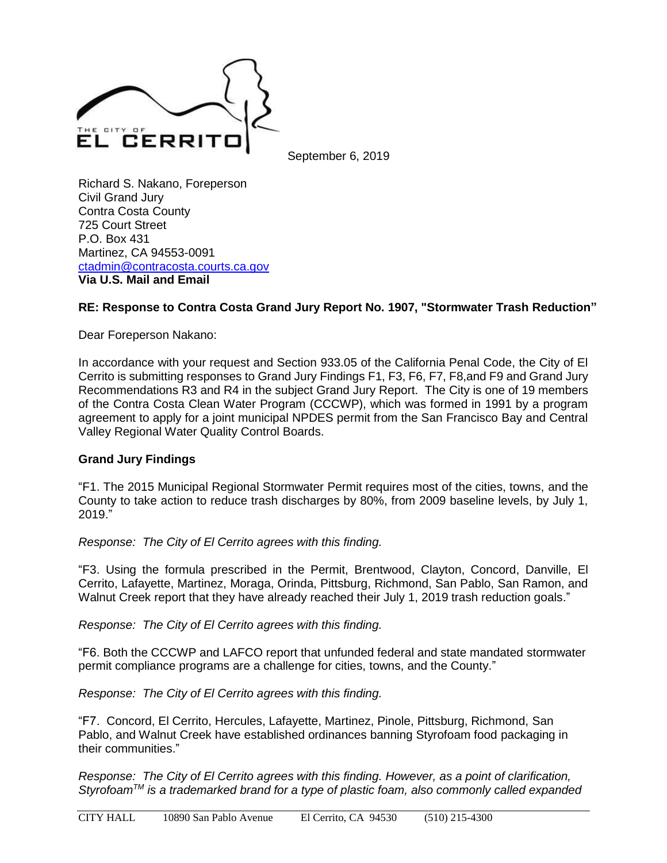

September 6, 2019

Richard S. Nakano, Foreperson Civil Grand Jury Contra Costa County 725 Court Street P.O. Box 431 Martinez, CA 94553-0091 [ctadmin@contracosta.courts.ca.gov](mailto:ctadmin@contracosta.courts.ca.gov) **Via U.S. Mail and Email**

## **RE: Response to Contra Costa Grand Jury Report No. 1907, "Stormwater Trash Reduction"**

Dear Foreperson Nakano:

In accordance with your request and Section 933.05 of the California Penal Code, the City of El Cerrito is submitting responses to Grand Jury Findings F1, F3, F6, F7, F8,and F9 and Grand Jury Recommendations R3 and R4 in the subject Grand Jury Report. The City is one of 19 members of the Contra Costa Clean Water Program (CCCWP), which was formed in 1991 by a program agreement to apply for a joint municipal NPDES permit from the San Francisco Bay and Central Valley Regional Water Quality Control Boards.

## **Grand Jury Findings**

"F1. The 2015 Municipal Regional Stormwater Permit requires most of the cities, towns, and the County to take action to reduce trash discharges by 80%, from 2009 baseline levels, by July 1, 2019."

*Response: The City of El Cerrito agrees with this finding.* 

"F3. Using the formula prescribed in the Permit, Brentwood, Clayton, Concord, Danville, El Cerrito, Lafayette, Martinez, Moraga, Orinda, Pittsburg, Richmond, San Pablo, San Ramon, and Walnut Creek report that they have already reached their July 1, 2019 trash reduction goals."

*Response: The City of El Cerrito agrees with this finding.*

"F6. Both the CCCWP and LAFCO report that unfunded federal and state mandated stormwater permit compliance programs are a challenge for cities, towns, and the County."

*Response: The City of El Cerrito agrees with this finding.*

"F7. Concord, El Cerrito, Hercules, Lafayette, Martinez, Pinole, Pittsburg, Richmond, San Pablo, and Walnut Creek have established ordinances banning Styrofoam food packaging in their communities."

*Response: The City of El Cerrito agrees with this finding. However, as a point of clarification, StyrofoamTM is a trademarked brand for a type of plastic foam, also commonly called expanded*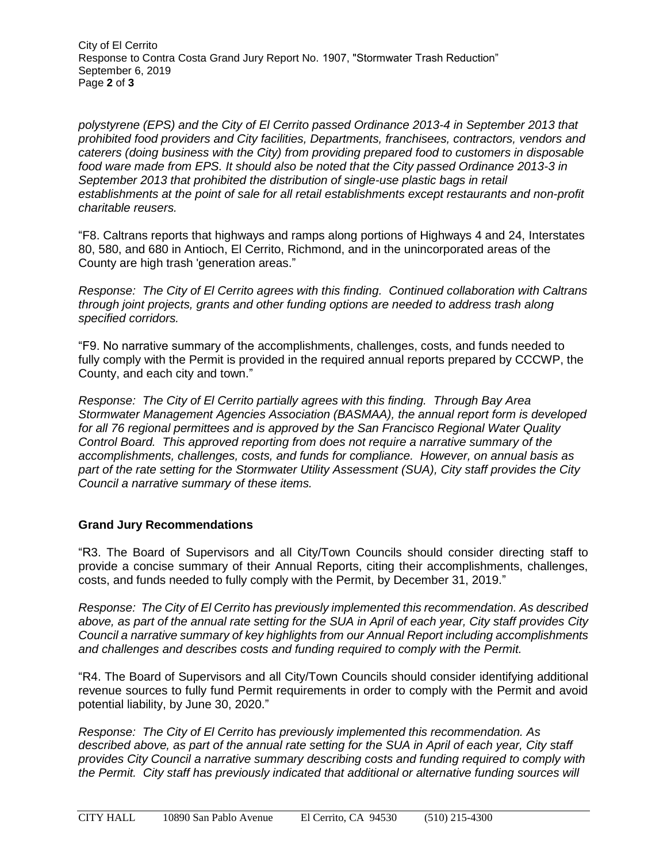City of El Cerrito Response to Contra Costa Grand Jury Report No. 1907, "Stormwater Trash Reduction" September 6, 2019 Page **2** of **3**

*polystyrene (EPS) and the City of El Cerrito passed Ordinance 2013-4 in September 2013 that prohibited food providers and City facilities, Departments, franchisees, contractors, vendors and caterers (doing business with the City) from providing prepared food to customers in disposable food ware made from EPS. It should also be noted that the City passed Ordinance 2013-3 in September 2013 that prohibited the distribution of single-use plastic bags in retail establishments at the point of sale for all retail establishments except restaurants and non-profit charitable reusers.*

"F8. Caltrans reports that highways and ramps along portions of Highways 4 and 24, Interstates 80, 580, and 680 in Antioch, El Cerrito, Richmond, and in the unincorporated areas of the County are high trash 'generation areas."

*Response: The City of El Cerrito agrees with this finding. Continued collaboration with Caltrans through joint projects, grants and other funding options are needed to address trash along specified corridors.*

"F9. No narrative summary of the accomplishments, challenges, costs, and funds needed to fully comply with the Permit is provided in the required annual reports prepared by CCCWP, the County, and each city and town."

*Response: The City of El Cerrito partially agrees with this finding. Through Bay Area Stormwater Management Agencies Association (BASMAA), the annual report form is developed for all 76 regional permittees and is approved by the San Francisco Regional Water Quality Control Board. This approved reporting from does not require a narrative summary of the accomplishments, challenges, costs, and funds for compliance. However, on annual basis as part of the rate setting for the Stormwater Utility Assessment (SUA), City staff provides the City Council a narrative summary of these items.*

## **Grand Jury Recommendations**

"R3. The Board of Supervisors and all City/Town Councils should consider directing staff to provide a concise summary of their Annual Reports, citing their accomplishments, challenges, costs, and funds needed to fully comply with the Permit, by December 31, 2019."

*Response: The City of El Cerrito has previously implemented this recommendation. As described above, as part of the annual rate setting for the SUA in April of each year, City staff provides City Council a narrative summary of key highlights from our Annual Report including accomplishments and challenges and describes costs and funding required to comply with the Permit.*

"R4. The Board of Supervisors and all City/Town Councils should consider identifying additional revenue sources to fully fund Permit requirements in order to comply with the Permit and avoid potential liability, by June 30, 2020."

*Response: The City of El Cerrito has previously implemented this recommendation. As described above, as part of the annual rate setting for the SUA in April of each year, City staff provides City Council a narrative summary describing costs and funding required to comply with the Permit. City staff has previously indicated that additional or alternative funding sources will*